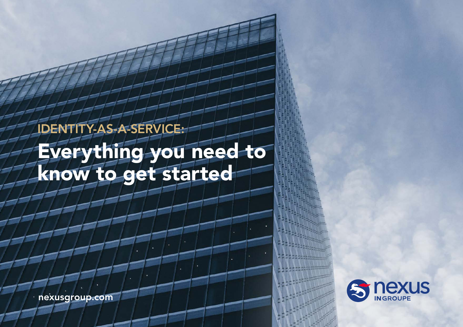# IDENTITY-AS-A-SERVICE: Everything you need to know to get started

nexusgroup.com

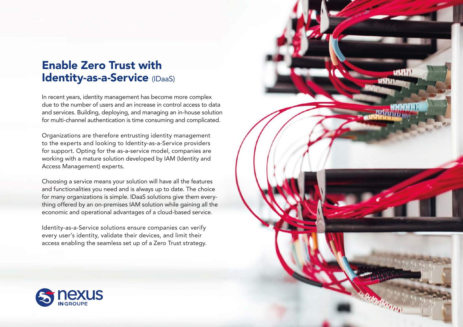### Enable Zero Trust with Identity-as-a-Service (IDaaS)

In recent years, identity management has become more complex due to the number of users and an increase in control access to data and services. Building, deploying, and managing an in-house solution for multi-channel authentication is time consuming and complicated.

Organizations are therefore entrusting identity management to the experts and looking to Identity-as-a-Service providers for support. Opting for the as-a-service model, companies are working with a mature solution developed by IAM (Identity and Access Management) experts.

Choosing a service means your solution will have all the features and functionalities you need and is always up to date. The choice for many organizations is simple. IDaaS solutions give them everything offered by an on-premises IAM solution while gaining all the economic and operational advantages of a cloud-based service.

Identity-as-a-Service solutions ensure companies can verify every user's identity, validate their devices, and limit their access enabling the seamless set up of a Zero Trust strategy.



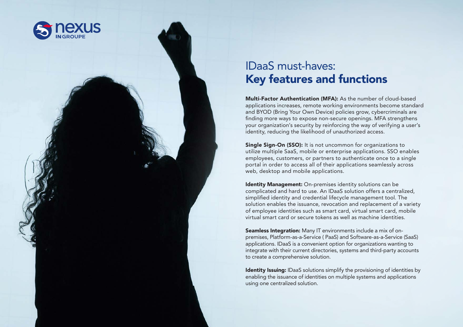

## IDaaS must-haves: Key features and functions

Multi-Factor Authentication (MFA): As the number of cloud-based applications increases, remote working environments become standard and BYOD (Bring Your Own Device) policies grow, cybercriminals are finding more ways to expose non-secure openings. MFA strengthens your organization's security by reinforcing the way of verifying a user's identity, reducing the likelihood of unauthorized access.

**Single Sign-On (SSO):** It is not uncommon for organizations to utilize multiple SaaS, mobile or enterprise applications. SSO enables employees, customers, or partners to authenticate once to a single portal in order to access all of their applications seamlessly across web, desktop and mobile applications.

**Identity Management:** On-premises identity solutions can be complicated and hard to use. An IDaaS solution offers a centralized, simplified identity and credential lifecycle management tool. The solution enables the issuance, revocation and replacement of a variety of employee identities such as smart card, virtual smart card, mobile virtual smart card or secure tokens as well as machine identities.

Seamless Integration: Many IT environments include a mix of onpremises, Platform-as-a-Service ( PaaS) and Software-as-a-Service (SaaS) applications. IDaaS is a convenient option for organizations wanting to integrate with their current directories, systems and third-party accounts to create a comprehensive solution.

Identity Issuing: IDaaS solutions simplify the provisioning of identities by enabling the issuance of identities on multiple systems and applications using one centralized solution.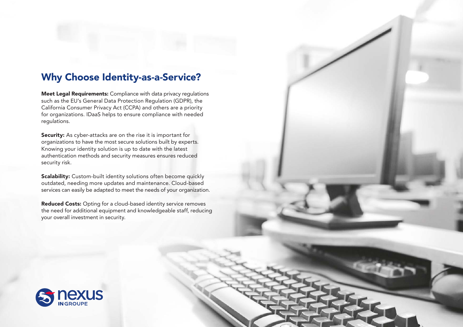### Why Choose Identity-as-a-Service?

Meet Legal Requirements: Compliance with data privacy regulations such as the EU's General Data Protection Regulation (GDPR), the California Consumer Privacy Act (CCPA) and others are a priority for organizations. IDaaS helps to ensure compliance with needed regulations.

Security: As cyber-attacks are on the rise it is important for organizations to have the most secure solutions built by experts. Knowing your identity solution is up to date with the latest authentication methods and security measures ensures reduced security risk.

Scalability: Custom-built identity solutions often become quickly outdated, needing more updates and maintenance. Cloud-based services can easily be adapted to meet the needs of your organization.

Reduced Costs: Opting for a cloud-based identity service removes the need for additional equipment and knowledgeable staff, reducing your overall investment in security.

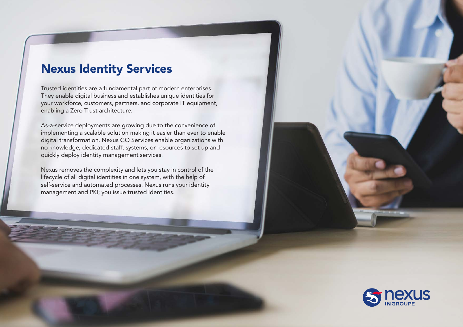### Nexus Identity Services

Trusted identities are a fundamental part of modern enterprises. They enable digital business and establishes unique identities for your workforce, customers, partners, and corporate IT equipment, enabling a Zero Trust architecture.

As-a-service deployments are growing due to the convenience of implementing a scalable solution making it easier than ever to enable digital transformation. Nexus GO Services enable organizations with no knowledge, dedicated staff, systems, or resources to set up and quickly deploy identity management services.

Nexus removes the complexity and lets you stay in control of the lifecycle of all digital identities in one system, with the help of self-service and automated processes. Nexus runs your identity management and PKI; you issue trusted identities.

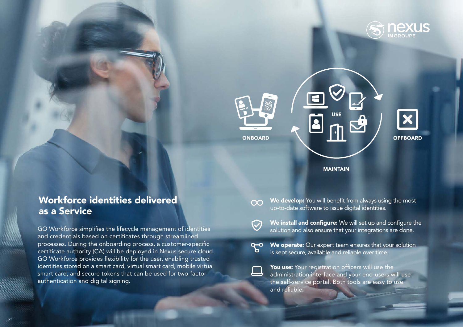



### **MAINTAIN**

### Workforce identities delivered as a Service

GO Workforce simplifies the lifecycle management of identities and credentials based on certificates through streamlined processes. During the onboarding process, a customer-specific certificate authority (CA) will be deployed in Nexus secure cloud. GO Workforce provides flexibility for the user, enabling trusted identities stored on a smart card, virtual smart card, mobile virtual smart card, and secure tokens that can be used for two-factor authentication and digital signing.

- We develop: You will benefit from always using the most  $\infty$ up-to-date software to issue digital identities.
	-

 $\bigcirc$ 

- We install and configure: We will set up and configure the solution and also ensure that your integrations are done.
- We operate: Our expert team ensures that your solution  $R - 0$ is kept secure, available and reliable over time.
	- You use: Your registration officers will use the administration interface and your end-users will use the self-service portal. Both tools are easy to use and reliable.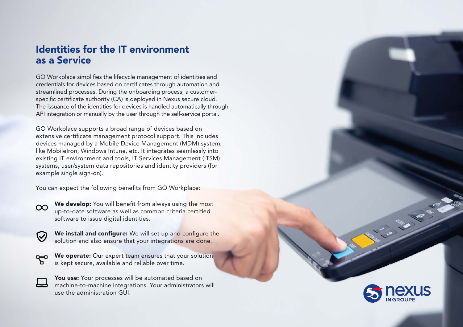### Identities for the IT environment as a Service

GO Workplace simplifies the lifecycle management of identities and credentials for devices based on certificates through automation and streamlined processes. During the onboarding process, a customerspecific certificate authority (CA) is deployed in Nexus secure cloud. The issuance of the identities for devices is handled automatically through API integration or manually by the user through the self-service portal.

GO Workplace supports a broad range of devices based on extensive certificate management protocol support. This includes devices managed by a Mobile Device Management (MDM) system, like MobileIron, Windows Intune, etc. It integrates seamlessly into existing IT environment and tools, IT Services Management (ITSM) systems, user/system data repositories and identity providers (for example single sign-on).

You can expect the following benefits from GO Workplace:

We develop: You will benefit from always using the most  $\infty$ up-to-date software as well as common criteria certified software to issue digital identities.



We install and configure: We will set up and configure the solution and also ensure that your integrations are done.

We operate: Our expert team ensures that your solution  $Q = 0$ is kept secure, available and reliable over time.

You use: Your processes will be automated based on machine-to-machine integrations. Your administrators will use the administration GUI.



**BANK**